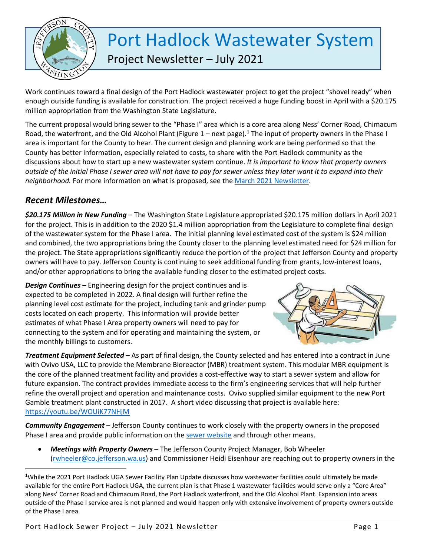

## Port Hadlock Wastewater System

Project Newsletter – July 2021

Work continues toward a final design of the Port Hadlock wastewater project to get the project "shovel ready" when enough outside funding is available for construction. The project received a huge funding boost in April with a \$20.175 million appropriation from the Washington State Legislature.

The current proposal would bring sewer to the "Phase I" area which is a core area along Ness' Corner Road, Chimacum Road, the waterfront, and the Old Alcohol Plant (Figure [1](#page-0-0) – next page).<sup>1</sup> The input of property owners in the Phase I area is important for the County to hear. The current design and planning work are being performed so that the County has better information, especially related to costs, to share with the Port Hadlock community as the discussions about how to start up a new wastewater system continue. *It is important to know that property owners outside of the initial Phase I sewer area will not have to pay for sewer unless they later want it to expand into their neighborhood.* For more information on what is proposed, see the [March 2021 Newsletter.](https://www.co.jefferson.wa.us/DocumentCenter/View/11575/Port-Hadlock-Sewer-Project-March-2021-Newsletter)

## *Recent Milestones…*

l

*\$20.175 Million in New Funding* – The Washington State Legislature appropriated \$20.175 million dollars in April 2021 for the project. This is in addition to the 2020 \$1.4 million appropriation from the Legislature to complete final design of the wastewater system for the Phase I area. The initial planning level estimated cost of the system is \$24 million and combined, the two appropriations bring the County closer to the planning level estimated need for \$24 million for the project. The State appropriations significantly reduce the portion of the project that Jefferson County and property owners will have to pay. Jefferson County is continuing to seek additional funding from grants, low-interest loans, and/or other appropriations to bring the available funding closer to the estimated project costs.

*Design Continues –* Engineering design for the project continues and is expected to be completed in 2022. A final design will further refine the planning level cost estimate for the project, including tank and grinder pump costs located on each property. This information will provide better estimates of what Phase I Area property owners will need to pay for connecting to the system and for operating and maintaining the system, or the monthly billings to customers.



*Treatment Equipment Selected –* As part of final design, the County selected and has entered into a contract in June with Ovivo USA, LLC to provide the Membrane Bioreactor (MBR) treatment system. This modular MBR equipment is the core of the planned treatment facility and provides a cost-effective way to start a sewer system and allow for future expansion. The contract provides immediate access to the firm's engineering services that will help further refine the overall project and operation and maintenance costs. Ovivo supplied similar equipment to the new Port Gamble treatment plant constructed in 2017. A short video discussing that project is available here: <https://youtu.be/WOUiK77NHjM>

*Community Engagement* – Jefferson County continues to work closely with the property owners in the proposed Phase I area and provide public information on the [sewer website](https://www.co.jefferson.wa.us/1158/Port-Hadlock-Wastewater-System) and through other means.

• *Meetings with Property Owners* – The Jefferson County Project Manager, Bob Wheeler [\(rwheeler@co.jefferson.wa.us\)](mailto:rwheeler@co.jefferson.wa.us) and Commissioner Heidi Eisenhour are reaching out to property owners in the

<span id="page-0-0"></span>**<sup>1</sup>** While the 2021 Port Hadlock UGA Sewer Facility Plan Update discusses how wastewater facilities could ultimately be made available for the entire Port Hadlock UGA, the current plan is that Phase 1 wastewater facilities would serve only a "Core Area" along Ness' Corner Road and Chimacum Road, the Port Hadlock waterfront, and the Old Alcohol Plant. Expansion into areas outside of the Phase I service area is not planned and would happen only with extensive involvement of property owners outside of the Phase I area.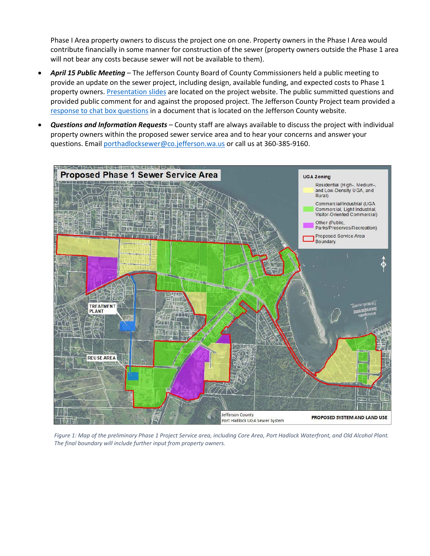Phase I Area property owners to discuss the project one on one. Property owners in the Phase I Area would contribute financially in some manner for construction of the sewer (property owners outside the Phase 1 area will not bear any costs because sewer will not be available to them).

- *April 15 Public Meeting* The Jefferson County Board of County Commissioners held a public meeting to provide an update on the sewer project, including design, available funding, and expected costs to Phase 1 property owners. [Presentation slides](https://www.co.jefferson.wa.us/DocumentCenter/View/11674) are located on the project website. The public summitted questions and provided public comment for and against the proposed project. The Jefferson County Project team provided a [response to chat box questions](https://www.co.jefferson.wa.us/DocumentCenter/View/12039/Responses-to-4152021-Public-Mtg-Chat-Box-Questions?bidId=) in a document that is located on the Jefferson County website.
- *Questions and Information Requests* County staff are always available to discuss the project with individual property owners within the proposed sewer service area and to hear your concerns and answer your questions. Email [porthadlocksewer@co.jefferson.wa.us](mailto:porthadlocksewer@co.jefferson.wa.us) or call us at 360-385-9160.



*Figure 1: Map of the preliminary Phase 1 Project Service area, including Core Area, Port Hadlock Waterfront, and Old Alcohol Plant. The final boundary will include further input from property owners.*